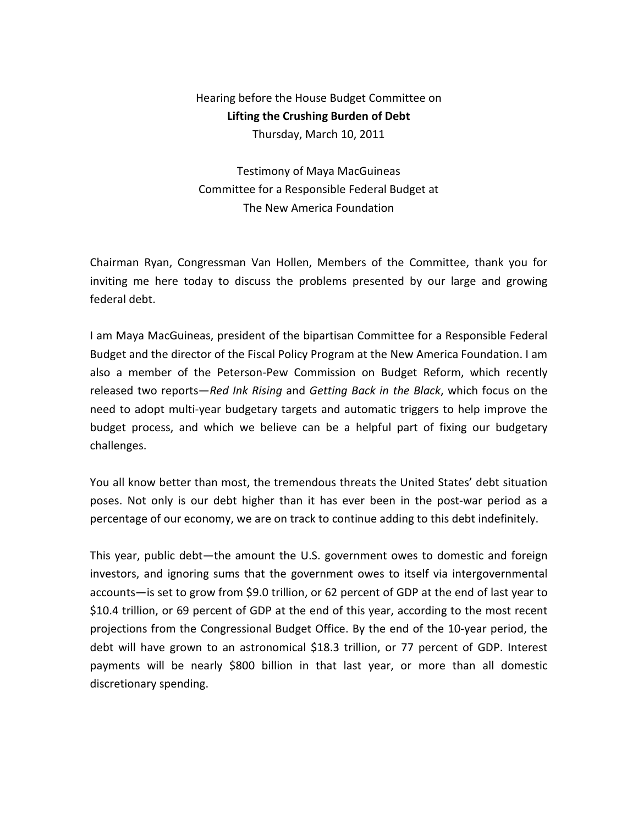## Hearing before the House Budget Committee on Lifting the Crushing Burden of Debt Thursday, March 10, 2011

Testimony of Maya MacGuineas Committee for a Responsible Federal Budget at The New America Foundation

Chairman Ryan, Congressman Van Hollen, Members of the Committee, thank you for inviting me here today to discuss the problems presented by our large and growing federal debt.

I am Maya MacGuineas, president of the bipartisan Committee for a Responsible Federal Budget and the director of the Fiscal Policy Program at the New America Foundation. I am also a member of the Peterson-Pew Commission on Budget Reform, which recently released two reports—Red Ink Rising and Getting Back in the Black, which focus on the need to adopt multi-year budgetary targets and automatic triggers to help improve the budget process, and which we believe can be a helpful part of fixing our budgetary challenges.

You all know better than most, the tremendous threats the United States' debt situation poses. Not only is our debt higher than it has ever been in the post-war period as a percentage of our economy, we are on track to continue adding to this debt indefinitely.

This year, public debt—the amount the U.S. government owes to domestic and foreign investors, and ignoring sums that the government owes to itself via intergovernmental accounts—is set to grow from \$9.0 trillion, or 62 percent of GDP at the end of last year to \$10.4 trillion, or 69 percent of GDP at the end of this year, according to the most recent projections from the Congressional Budget Office. By the end of the 10-year period, the debt will have grown to an astronomical \$18.3 trillion, or 77 percent of GDP. Interest payments will be nearly \$800 billion in that last year, or more than all domestic discretionary spending.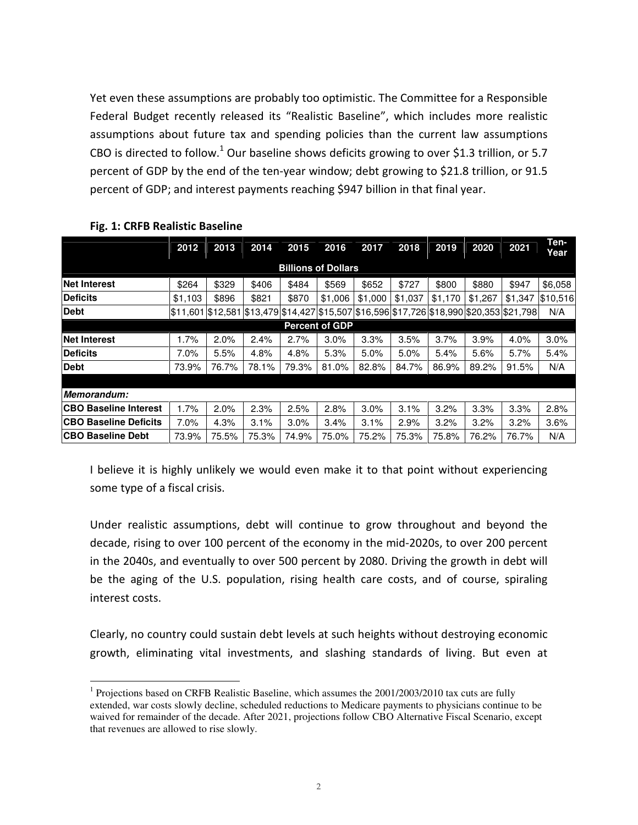Yet even these assumptions are probably too optimistic. The Committee for a Responsible Federal Budget recently released its "Realistic Baseline", which includes more realistic assumptions about future tax and spending policies than the current law assumptions CBO is directed to follow.<sup>1</sup> Our baseline shows deficits growing to over \$1.3 trillion, or 5.7 percent of GDP by the end of the ten-year window; debt growing to \$21.8 trillion, or 91.5 percent of GDP; and interest payments reaching \$947 billion in that final year.

|                              | 2012             | 2013  | 2014                                                                    | 2015  | 2016    | 2017    | 2018    | 2019    | 2020    | 2021    | Ten-<br>Year |
|------------------------------|------------------|-------|-------------------------------------------------------------------------|-------|---------|---------|---------|---------|---------|---------|--------------|
| <b>Billions of Dollars</b>   |                  |       |                                                                         |       |         |         |         |         |         |         |              |
| <b>Net Interest</b>          | \$264            | \$329 | \$406                                                                   | \$484 | \$569   | \$652   | \$727   | \$800   | \$880   | \$947   | \$6,058      |
| <b>Deficits</b>              | \$1,103          | \$896 | \$821                                                                   | \$870 | \$1,006 | \$1,000 | \$1,037 | \$1,170 | \$1,267 | \$1,347 | \$10,516     |
| Debt                         | 511,601 \$12,581 |       | \$13,479 \$14,427 \$15,507 \$16,596 \$17,726 \$18,990 \$20,353 \$21,798 |       |         |         |         |         |         |         | N/A          |
| <b>Percent of GDP</b>        |                  |       |                                                                         |       |         |         |         |         |         |         |              |
| <b>Net Interest</b>          | 1.7%             | 2.0%  | 2.4%                                                                    | 2.7%  | 3.0%    | 3.3%    | 3.5%    | 3.7%    | 3.9%    | 4.0%    | 3.0%         |
| <b>Deficits</b>              | 7.0%             | 5.5%  | 4.8%                                                                    | 4.8%  | 5.3%    | 5.0%    | 5.0%    | 5.4%    | 5.6%    | 5.7%    | 5.4%         |
| Debt                         | 73.9%            | 76.7% | 78.1%                                                                   | 79.3% | 81.0%   | 82.8%   | 84.7%   | 86.9%   | 89.2%   | 91.5%   | N/A          |
|                              |                  |       |                                                                         |       |         |         |         |         |         |         |              |
| Memorandum:                  |                  |       |                                                                         |       |         |         |         |         |         |         |              |
| <b>CBO Baseline Interest</b> | 1.7%             | 2.0%  | 2.3%                                                                    | 2.5%  | 2.8%    | 3.0%    | 3.1%    | 3.2%    | 3.3%    | 3.3%    | 2.8%         |
| <b>CBO Baseline Deficits</b> | 7.0%             | 4.3%  | 3.1%                                                                    | 3.0%  | 3.4%    | 3.1%    | 2.9%    | 3.2%    | 3.2%    | 3.2%    | 3.6%         |
| <b>CBO Baseline Debt</b>     | 73.9%            | 75.5% | 75.3%                                                                   | 74.9% | 75.0%   | 75.2%   | 75.3%   | 75.8%   | 76.2%   | 76.7%   | N/A          |

## Fig. 1: CRFB Realistic Baseline

 $\overline{a}$ 

I believe it is highly unlikely we would even make it to that point without experiencing some type of a fiscal crisis.

Under realistic assumptions, debt will continue to grow throughout and beyond the decade, rising to over 100 percent of the economy in the mid-2020s, to over 200 percent in the 2040s, and eventually to over 500 percent by 2080. Driving the growth in debt will be the aging of the U.S. population, rising health care costs, and of course, spiraling interest costs.

Clearly, no country could sustain debt levels at such heights without destroying economic growth, eliminating vital investments, and slashing standards of living. But even at

<sup>1</sup> Projections based on CRFB Realistic Baseline, which assumes the 2001/2003/2010 tax cuts are fully extended, war costs slowly decline, scheduled reductions to Medicare payments to physicians continue to be waived for remainder of the decade. After 2021, projections follow CBO Alternative Fiscal Scenario, except that revenues are allowed to rise slowly.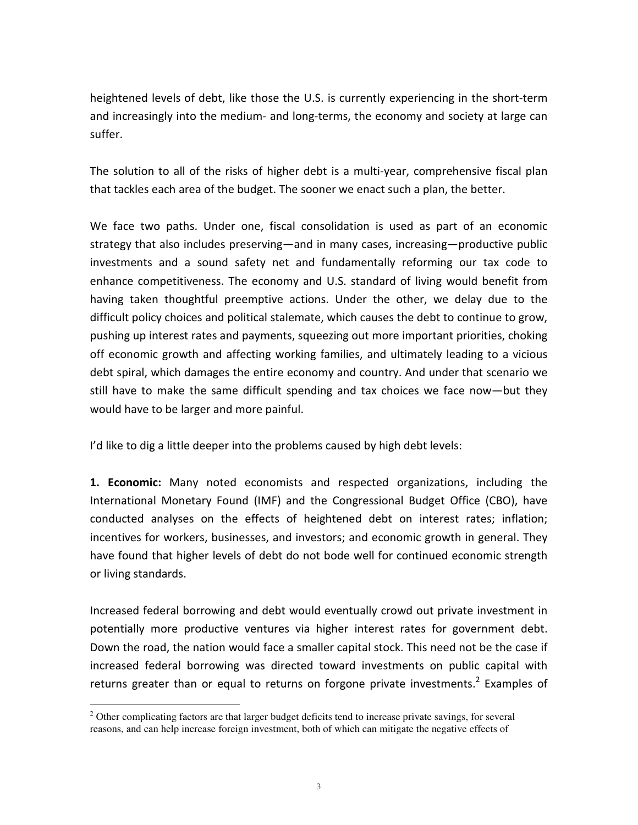heightened levels of debt, like those the U.S. is currently experiencing in the short-term and increasingly into the medium- and long-terms, the economy and society at large can suffer.

The solution to all of the risks of higher debt is a multi-year, comprehensive fiscal plan that tackles each area of the budget. The sooner we enact such a plan, the better.

We face two paths. Under one, fiscal consolidation is used as part of an economic strategy that also includes preserving—and in many cases, increasing—productive public investments and a sound safety net and fundamentally reforming our tax code to enhance competitiveness. The economy and U.S. standard of living would benefit from having taken thoughtful preemptive actions. Under the other, we delay due to the difficult policy choices and political stalemate, which causes the debt to continue to grow, pushing up interest rates and payments, squeezing out more important priorities, choking off economic growth and affecting working families, and ultimately leading to a vicious debt spiral, which damages the entire economy and country. And under that scenario we still have to make the same difficult spending and tax choices we face now—but they would have to be larger and more painful.

I'd like to dig a little deeper into the problems caused by high debt levels:

1. Economic: Many noted economists and respected organizations, including the International Monetary Found (IMF) and the Congressional Budget Office (CBO), have conducted analyses on the effects of heightened debt on interest rates; inflation; incentives for workers, businesses, and investors; and economic growth in general. They have found that higher levels of debt do not bode well for continued economic strength or living standards.

Increased federal borrowing and debt would eventually crowd out private investment in potentially more productive ventures via higher interest rates for government debt. Down the road, the nation would face a smaller capital stock. This need not be the case if increased federal borrowing was directed toward investments on public capital with returns greater than or equal to returns on forgone private investments.<sup>2</sup> Examples of

<sup>&</sup>lt;sup>2</sup> Other complicating factors are that larger budget deficits tend to increase private savings, for several reasons, and can help increase foreign investment, both of which can mitigate the negative effects of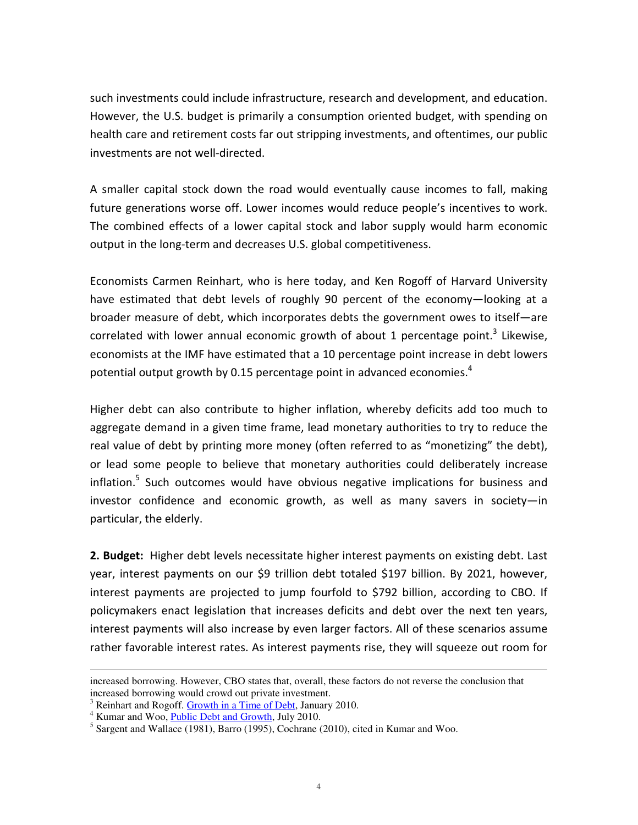such investments could include infrastructure, research and development, and education. However, the U.S. budget is primarily a consumption oriented budget, with spending on health care and retirement costs far out stripping investments, and oftentimes, our public investments are not well-directed.

A smaller capital stock down the road would eventually cause incomes to fall, making future generations worse off. Lower incomes would reduce people's incentives to work. The combined effects of a lower capital stock and labor supply would harm economic output in the long-term and decreases U.S. global competitiveness.

Economists Carmen Reinhart, who is here today, and Ken Rogoff of Harvard University have estimated that debt levels of roughly 90 percent of the economy—looking at a broader measure of debt, which incorporates debts the government owes to itself—are correlated with lower annual economic growth of about 1 percentage point.<sup>3</sup> Likewise, economists at the IMF have estimated that a 10 percentage point increase in debt lowers potential output growth by 0.15 percentage point in advanced economies.<sup>4</sup>

Higher debt can also contribute to higher inflation, whereby deficits add too much to aggregate demand in a given time frame, lead monetary authorities to try to reduce the real value of debt by printing more money (often referred to as "monetizing" the debt), or lead some people to believe that monetary authorities could deliberately increase inflation.<sup>5</sup> Such outcomes would have obvious negative implications for business and investor confidence and economic growth, as well as many savers in society—in particular, the elderly.

2. Budget: Higher debt levels necessitate higher interest payments on existing debt. Last year, interest payments on our \$9 trillion debt totaled \$197 billion. By 2021, however, interest payments are projected to jump fourfold to \$792 billion, according to CBO. If policymakers enact legislation that increases deficits and debt over the next ten years, interest payments will also increase by even larger factors. All of these scenarios assume rather favorable interest rates. As interest payments rise, they will squeeze out room for

 $\overline{a}$ 

increased borrowing. However, CBO states that, overall, these factors do not reverse the conclusion that increased borrowing would crowd out private investment.

<sup>&</sup>lt;sup>3</sup> Reinhart and Rogoff. Growth in a Time of Debt, January 2010.

<sup>&</sup>lt;sup>4</sup> Kumar and Woo, **Public Debt and Growth**, July 2010.

<sup>&</sup>lt;sup>5</sup> Sargent and Wallace (1981), Barro (1995), Cochrane (2010), cited in Kumar and Woo.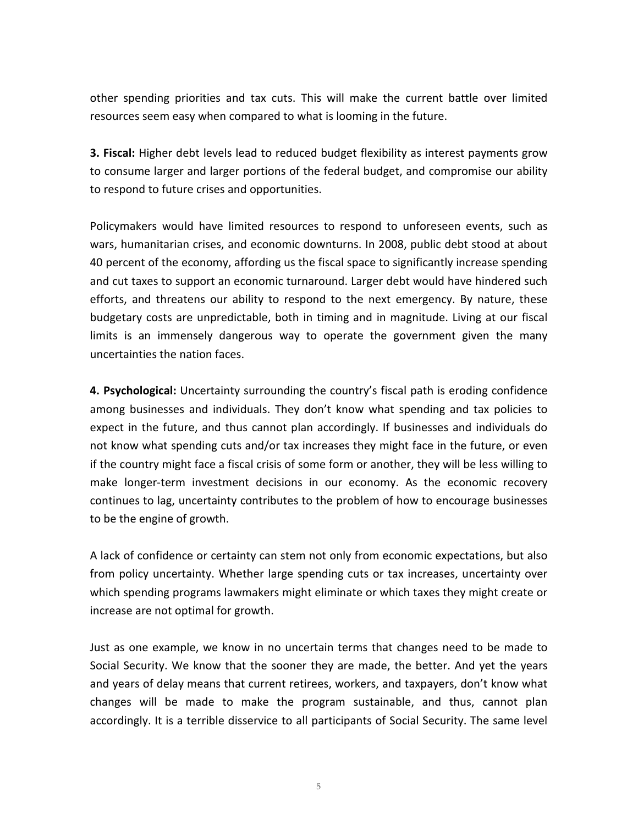other spending priorities and tax cuts. This will make the current battle over limited resources seem easy when compared to what is looming in the future.

**3. Fiscal:** Higher debt levels lead to reduced budget flexibility as interest payments grow to consume larger and larger portions of the federal budget, and compromise our ability to respond to future crises and opportunities.

Policymakers would have limited resources to respond to unforeseen events, such as wars, humanitarian crises, and economic downturns. In 2008, public debt stood at about 40 percent of the economy, affording us the fiscal space to significantly increase spending and cut taxes to support an economic turnaround. Larger debt would have hindered such efforts, and threatens our ability to respond to the next emergency. By nature, these budgetary costs are unpredictable, both in timing and in magnitude. Living at our fiscal limits is an immensely dangerous way to operate the government given the many uncertainties the nation faces.

4. Psychological: Uncertainty surrounding the country's fiscal path is eroding confidence among businesses and individuals. They don't know what spending and tax policies to expect in the future, and thus cannot plan accordingly. If businesses and individuals do not know what spending cuts and/or tax increases they might face in the future, or even if the country might face a fiscal crisis of some form or another, they will be less willing to make longer-term investment decisions in our economy. As the economic recovery continues to lag, uncertainty contributes to the problem of how to encourage businesses to be the engine of growth.

A lack of confidence or certainty can stem not only from economic expectations, but also from policy uncertainty. Whether large spending cuts or tax increases, uncertainty over which spending programs lawmakers might eliminate or which taxes they might create or increase are not optimal for growth.

Just as one example, we know in no uncertain terms that changes need to be made to Social Security. We know that the sooner they are made, the better. And yet the years and years of delay means that current retirees, workers, and taxpayers, don't know what changes will be made to make the program sustainable, and thus, cannot plan accordingly. It is a terrible disservice to all participants of Social Security. The same level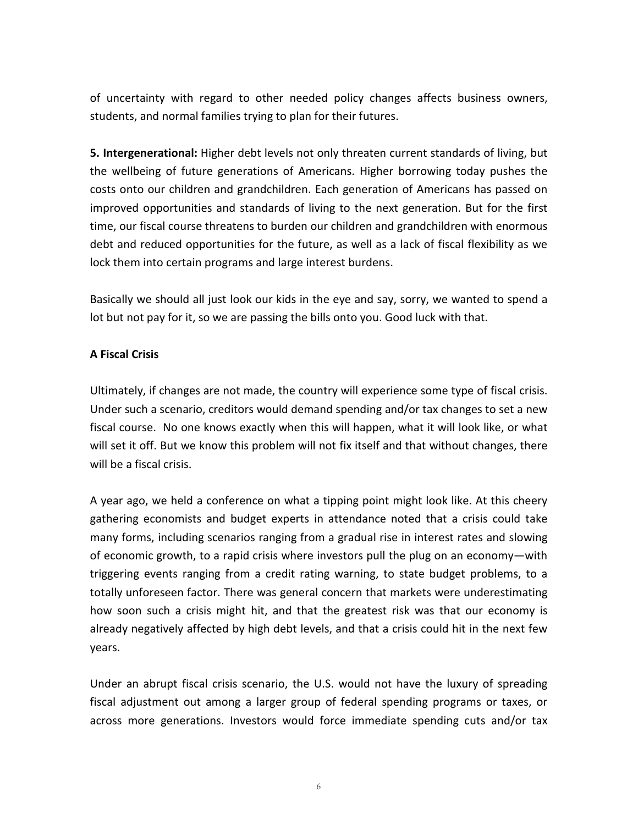of uncertainty with regard to other needed policy changes affects business owners, students, and normal families trying to plan for their futures.

5. Intergenerational: Higher debt levels not only threaten current standards of living, but the wellbeing of future generations of Americans. Higher borrowing today pushes the costs onto our children and grandchildren. Each generation of Americans has passed on improved opportunities and standards of living to the next generation. But for the first time, our fiscal course threatens to burden our children and grandchildren with enormous debt and reduced opportunities for the future, as well as a lack of fiscal flexibility as we lock them into certain programs and large interest burdens.

Basically we should all just look our kids in the eye and say, sorry, we wanted to spend a lot but not pay for it, so we are passing the bills onto you. Good luck with that.

## A Fiscal Crisis

Ultimately, if changes are not made, the country will experience some type of fiscal crisis. Under such a scenario, creditors would demand spending and/or tax changes to set a new fiscal course. No one knows exactly when this will happen, what it will look like, or what will set it off. But we know this problem will not fix itself and that without changes, there will be a fiscal crisis.

A year ago, we held a conference on what a tipping point might look like. At this cheery gathering economists and budget experts in attendance noted that a crisis could take many forms, including scenarios ranging from a gradual rise in interest rates and slowing of economic growth, to a rapid crisis where investors pull the plug on an economy—with triggering events ranging from a credit rating warning, to state budget problems, to a totally unforeseen factor. There was general concern that markets were underestimating how soon such a crisis might hit, and that the greatest risk was that our economy is already negatively affected by high debt levels, and that a crisis could hit in the next few years.

Under an abrupt fiscal crisis scenario, the U.S. would not have the luxury of spreading fiscal adjustment out among a larger group of federal spending programs or taxes, or across more generations. Investors would force immediate spending cuts and/or tax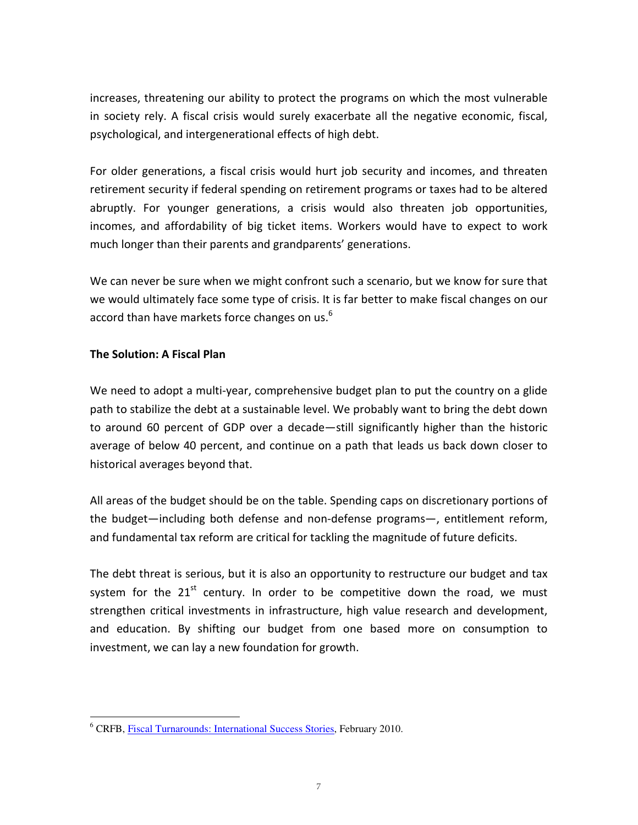increases, threatening our ability to protect the programs on which the most vulnerable in society rely. A fiscal crisis would surely exacerbate all the negative economic, fiscal, psychological, and intergenerational effects of high debt.

For older generations, a fiscal crisis would hurt job security and incomes, and threaten retirement security if federal spending on retirement programs or taxes had to be altered abruptly. For younger generations, a crisis would also threaten job opportunities, incomes, and affordability of big ticket items. Workers would have to expect to work much longer than their parents and grandparents' generations.

We can never be sure when we might confront such a scenario, but we know for sure that we would ultimately face some type of crisis. It is far better to make fiscal changes on our accord than have markets force changes on us.<sup>6</sup>

## The Solution: A Fiscal Plan

We need to adopt a multi-year, comprehensive budget plan to put the country on a glide path to stabilize the debt at a sustainable level. We probably want to bring the debt down to around 60 percent of GDP over a decade—still significantly higher than the historic average of below 40 percent, and continue on a path that leads us back down closer to historical averages beyond that.

All areas of the budget should be on the table. Spending caps on discretionary portions of the budget—including both defense and non-defense programs—, entitlement reform, and fundamental tax reform are critical for tackling the magnitude of future deficits.

The debt threat is serious, but it is also an opportunity to restructure our budget and tax system for the  $21^{st}$  century. In order to be competitive down the road, we must strengthen critical investments in infrastructure, high value research and development, and education. By shifting our budget from one based more on consumption to investment, we can lay a new foundation for growth.

<sup>&</sup>lt;sup>6</sup> CRFB, <u>Fiscal Turnarounds: International Success Stories</u>, February 2010.